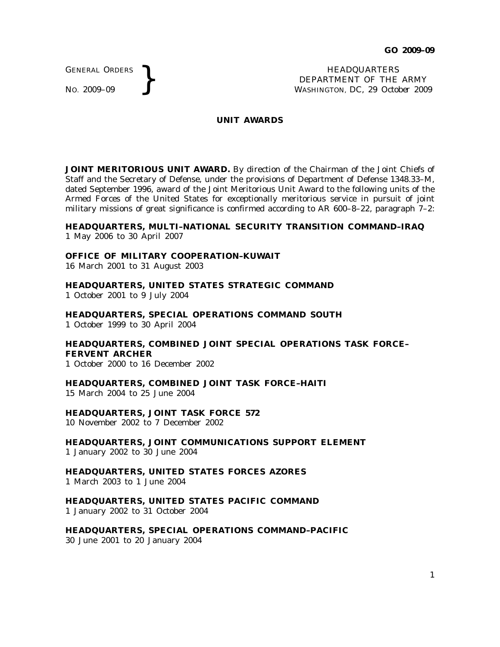GENERAL ORDERS

GENERAL ORDERS **}**<br>No. 2009–09 **}**<br>No. 2009–09 **}**<br>NASHINGTON, DC, 29 Octo DEPARTMENT OF THE ARMY WASHINGTON, DC, *29 October 2009*

#### **UNIT AWARDS**

**JOINT MERITORIOUS UNIT AWARD.** By direction of the Chairman of the Joint Chiefs of Staff and the Secretary of Defense, under the provisions of Department of Defense 1348.33–M, dated September 1996, award of the Joint Meritorious Unit Award to the following units of the Armed Forces of the United States for exceptionally meritorious service in pursuit of joint military missions of great significance is confirmed according to AR 600–8–22, paragraph  $7-2$ :

## **HEADQUARTERS, MULTI–NATIONAL SECURITY TRANSITION COMMAND–IRAQ** 1 May 2006 to 30 April 2007

## **OFFICE OF MILITARY COOPERATION–KUWAIT**

16 March 2001 to 31 August 2003

# **HEADQUARTERS, UNITED STATES STRATEGIC COMMAND**

1 October 2001 to 9 July 2004

**HEADQUARTERS, SPECIAL OPERATIONS COMMAND SOUTH** 1 October 1999 to 30 April 2004

## **HEADQUARTERS, COMBINED JOINT SPECIAL OPERATIONS TASK FORCE– FERVENT ARCHER**

1 October 2000 to 16 December 2002

#### **HEADQUARTERS, COMBINED JOINT TASK FORCE–HAITI**

15 March 2004 to 25 June 2004

## **HEADQUARTERS, JOINT TASK FORCE 572**

10 November 2002 to 7 December 2002

**HEADQUARTERS, JOINT COMMUNICATIONS SUPPORT ELEMENT** 1 January 2002 to 30 June 2004

# **HEADQUARTERS, UNITED STATES FORCES AZORES**

1 March 2003 to 1 June 2004

# **HEADQUARTERS, UNITED STATES PACIFIC COMMAND**

1 January 2002 to 31 October 2004

**HEADQUARTERS, SPECIAL OPERATIONS COMMAND–PACIFIC** 30 June 2001 to 20 January 2004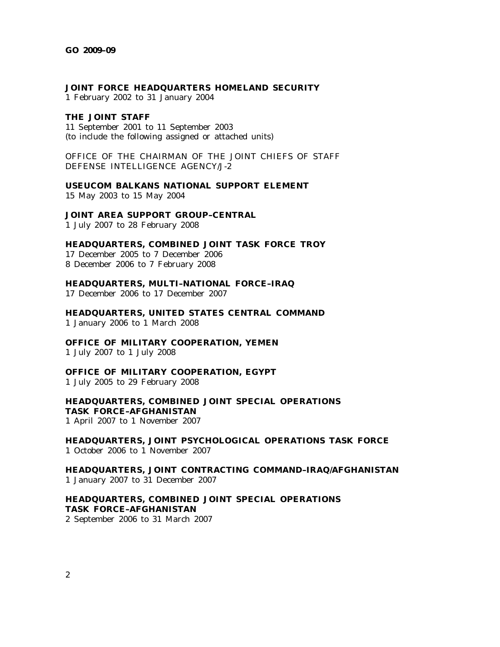#### **JOINT FORCE HEADQUARTERS HOMELAND SECURITY**

1 February 2002 to 31 January 2004

#### **THE JOINT STAFF**

11 September 2001 to 11 September 2003 (to include the following assigned or attached units)

OFFICE OF THE CHAIRMAN OF THE JOINT CHIEFS OF STAFF DEFENSE INTELLIGENCE AGENCY/J-2

**USEUCOM BALKANS NATIONAL SUPPORT ELEMENT** 15 May 2003 to 15 May 2004

**JOINT AREA SUPPORT GROUP–CENTRAL**

1 July 2007 to 28 February 2008

**HEADQUARTERS, COMBINED JOINT TASK FORCE TROY**

17 December 2005 to 7 December 2006 8 December 2006 to 7 February 2008

**HEADQUARTERS, MULTI–NATIONAL FORCE–IRAQ**

17 December 2006 to 17 December 2007

**HEADQUARTERS, UNITED STATES CENTRAL COMMAND** 1 January 2006 to 1 March 2008

**OFFICE OF MILITARY COOPERATION, YEMEN**

1 July 2007 to 1 July 2008

**OFFICE OF MILITARY COOPERATION, EGYPT**

1 July 2005 to 29 February 2008

# **HEADQUARTERS, COMBINED JOINT SPECIAL OPERATIONS TASK FORCE–AFGHANISTAN**

1 April 2007 to 1 November 2007

**HEADQUARTERS, JOINT PSYCHOLOGICAL OPERATIONS TASK FORCE** 1 October 2006 to 1 November 2007

**HEADQUARTERS, JOINT CONTRACTING COMMAND–IRAQ/AFGHANISTAN** 1 January 2007 to 31 December 2007

**HEADQUARTERS, COMBINED JOINT SPECIAL OPERATIONS TASK FORCE–AFGHANISTAN** 2 September 2006 to 31 March 2007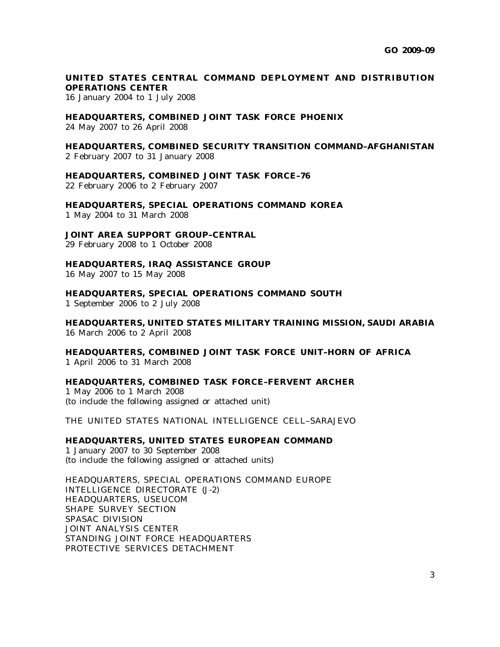# UNITED STATES CENTRAL COMMAND DEPLOYMENT AND DISTRIBUTION **OPERATIONS CENTER**

16 January 2004 to 1 July 2008

# **HEADQUARTERS, COMBINED JOINT TASK FORCE PHOENIX**

24 May 2007 to 26 April 2008

# **HEADQUARTERS, COMBINED SECURITY TRANSITION COMMAND–AFGHANISTAN**

2 February 2007 to 31 January 2008

## **HEADQUARTERS, COMBINED JOINT TASK FORCE–76**

22 February 2006 to 2 February 2007

**HEADQUARTERS, SPECIAL OPERATIONS COMMAND KOREA** 1 May 2004 to 31 March 2008

## **JOINT AREA SUPPORT GROUP–CENTRAL**

29 February 2008 to 1 October 2008

#### **HEADQUARTERS, IRAQ ASSISTANCE GROUP**

16 May 2007 to 15 May 2008

**HEADQUARTERS, SPECIAL OPERATIONS COMMAND SOUTH**

1 September 2006 to 2 July 2008

**HEADQUARTERS, UNITED STATES MILITARY TRAINING MISSION, SAUDI ARABIA** 16 March 2006 to 2 April 2008

**HEADQUARTERS, COMBINED JOINT TASK FORCE UNIT–HORN OF AFRICA** 1 April 2006 to 31 March 2008

**HEADQUARTERS, COMBINED TASK FORCE–FERVENT ARCHER** 1 May 2006 to 1 March 2008 (to include the following assigned or attached unit)

THE UNITED STATES NATIONAL INTELLIGENCE CELL–SARAJEVO

## **HEADQUARTERS, UNITED STATES EUROPEAN COMMAND**

1 January 2007 to 30 September 2008 (to include the following assigned or attached units)

HEADQUARTERS, SPECIAL OPERATIONS COMMAND EUROPE INTELLIGENCE DIRECTORATE (J-2) HEADQUARTERS, USEUCOM SHAPE SURVEY SECTION SPASAC DIVISION JOINT ANALYSIS CENTER STANDING JOINT FORCE HEADQUARTERS PROTECTIVE SERVICES DETACHMENT